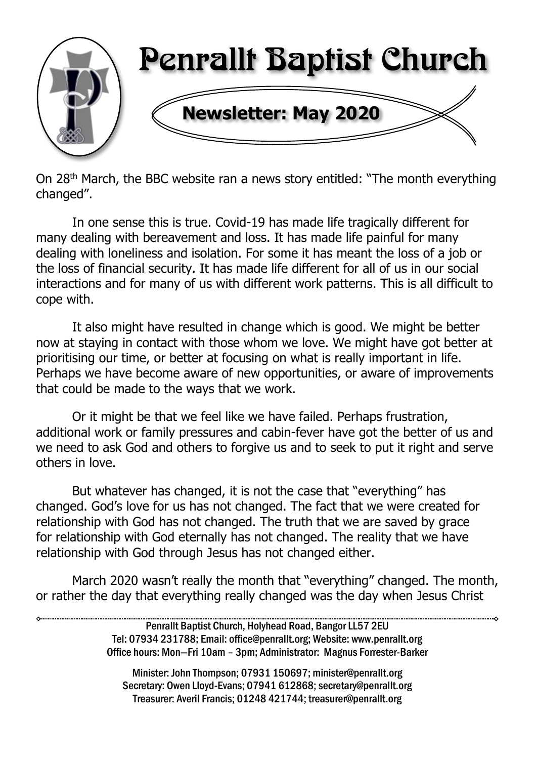

On 28th March, the BBC website ran a news story entitled: "The month everything changed".

In one sense this is true. Covid-19 has made life tragically different for many dealing with bereavement and loss. It has made life painful for many dealing with loneliness and isolation. For some it has meant the loss of a job or the loss of financial security. It has made life different for all of us in our social interactions and for many of us with different work patterns. This is all difficult to cope with.

It also might have resulted in change which is good. We might be better now at staying in contact with those whom we love. We might have got better at prioritising our time, or better at focusing on what is really important in life. Perhaps we have become aware of new opportunities, or aware of improvements that could be made to the ways that we work.

Or it might be that we feel like we have failed. Perhaps frustration, additional work or family pressures and cabin-fever have got the better of us and we need to ask God and others to forgive us and to seek to put it right and serve others in love.

But whatever has changed, it is not the case that "everything" has changed. God's love for us has not changed. The fact that we were created for relationship with God has not changed. The truth that we are saved by grace for relationship with God eternally has not changed. The reality that we have relationship with God through Jesus has not changed either.

March 2020 wasn't really the month that "everything" changed. The month, or rather the day that everything really changed was the day when Jesus Christ

> Penrallt Baptist Church, Holyhead Road, Bangor LL57 2EU Tel: 07934 231788; Email: office@penrallt.org; Website: www.penrallt.org Office hours: Mon—Fri 10am – 3pm; Administrator: Magnus Forrester-Barker

Minister: John Thompson; 07931 150697; minister@penrallt.org Secretary: Owen Lloyd-Evans: 07941 612868; secretary@penrallt.org Treasurer: Averil Francis; 01248 421744; treasurer@penrallt.org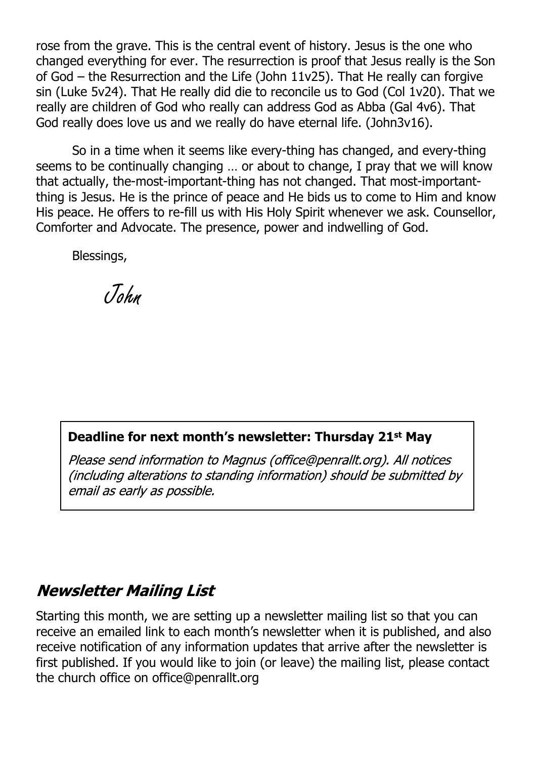rose from the grave. This is the central event of history. Jesus is the one who changed everything for ever. The resurrection is proof that Jesus really is the Son of God – the Resurrection and the Life (John 11v25). That He really can forgive sin (Luke 5v24). That He really did die to reconcile us to God (Col 1v20). That we really are children of God who really can address God as Abba (Gal 4v6). That God really does love us and we really do have eternal life. (John3v16).

So in a time when it seems like every-thing has changed, and every-thing seems to be continually changing … or about to change, I pray that we will know that actually, the-most-important-thing has not changed. That most-importantthing is Jesus. He is the prince of peace and He bids us to come to Him and know His peace. He offers to re-fill us with His Holy Spirit whenever we ask. Counsellor, Comforter and Advocate. The presence, power and indwelling of God.

Blessings,

John

#### **Deadline for next month's newsletter: Thursday 21st May**

Please send information to Magnus (office@penrallt.org). All notices (including alterations to standing information) should be submitted by email as early as possible.

#### **Newsletter Mailing List**

Starting this month, we are setting up a newsletter mailing list so that you can receive an emailed link to each month's newsletter when it is published, and also receive notification of any information updates that arrive after the newsletter is first published. If you would like to join (or leave) the mailing list, please contact the church office on office@penrallt.org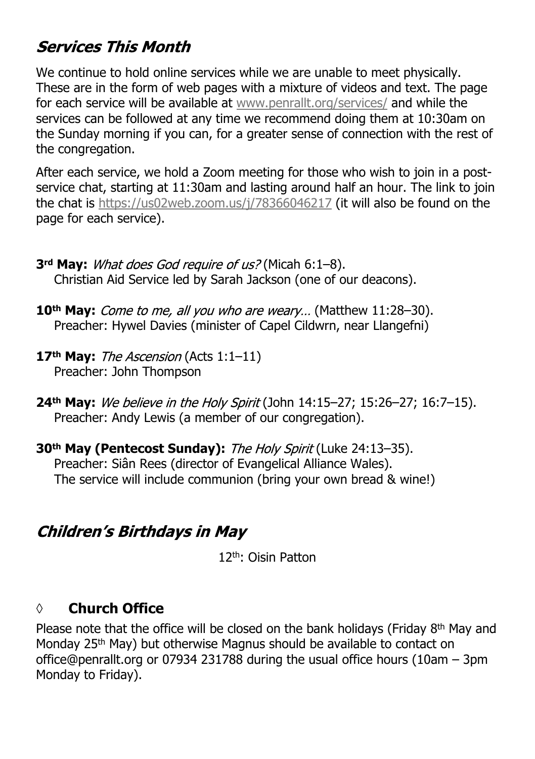## **Services This Month**

We continue to hold online services while we are unable to meet physically. These are in the form of web pages with a mixture of videos and text. The page for each service will be available at [www.penrallt.org/services/](https://www.penrallt.org/services/index.php) and while the services can be followed at any time we recommend doing them at 10:30am on the Sunday morning if you can, for a greater sense of connection with the rest of the congregation.

After each service, we hold a Zoom meeting for those who wish to join in a postservice chat, starting at 11:30am and lasting around half an hour. The link to join the chat is <https://us02web.zoom.us/j/78366046217> (it will also be found on the page for each service).

- **3<sup>rd</sup> May:** *What does God require of us?* (Micah 6:1–8). Christian Aid Service led by Sarah Jackson (one of our deacons).
- **10<sup>th</sup> May:** Come to me, all you who are weary... (Matthew 11:28–30). Preacher: Hywel Davies (minister of Capel Cildwrn, near Llangefni)
- 17<sup>th</sup> May: The Ascension (Acts 1:1-11) Preacher: John Thompson
- 24<sup>th</sup> May: We believe in the Holy Spirit (John 14:15-27; 15:26-27; 16:7-15). Preacher: Andy Lewis (a member of our congregation).
- **30<sup>th</sup> May (Pentecost Sunday):** The Holy Spirit (Luke 24:13-35). Preacher: Siân Rees (director of Evangelical Alliance Wales). The service will include communion (bring your own bread & wine!)

#### **Children's Birthdays in May**

12th: Oisin Patton

#### **◊ Church Office**

Please note that the office will be closed on the bank holidays (Friday 8<sup>th</sup> May and Monday 25<sup>th</sup> May) but otherwise Magnus should be available to contact on office@penrallt.org or 07934 231788 during the usual office hours (10am – 3pm Monday to Friday).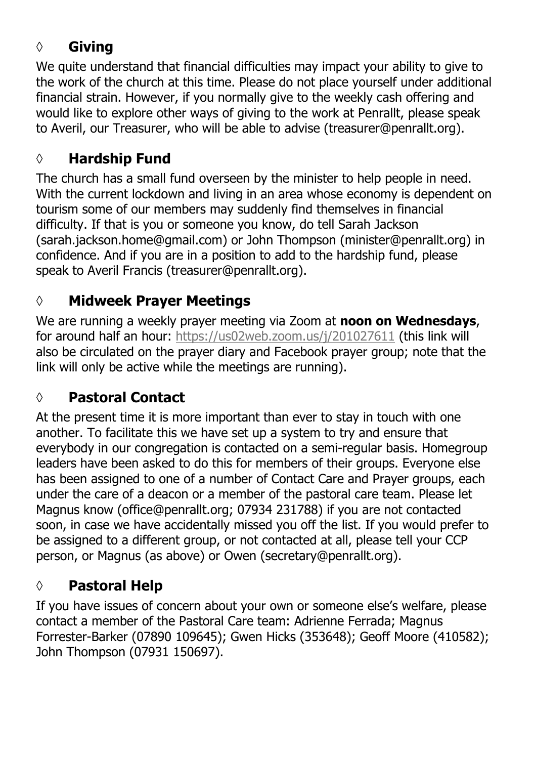#### **◊ Giving**

We quite understand that financial difficulties may impact your ability to give to the work of the church at this time. Please do not place yourself under additional financial strain. However, if you normally give to the weekly cash offering and would like to explore other ways of giving to the work at Penrallt, please speak to Averil, our Treasurer, who will be able to advise (treasurer@penrallt.org).

#### **◊ Hardship Fund**

The church has a small fund overseen by the minister to help people in need. With the current lockdown and living in an area whose economy is dependent on tourism some of our members may suddenly find themselves in financial difficulty. If that is you or someone you know, do tell Sarah Jackson (sarah.jackson.home@gmail.com) or John Thompson (minister@penrallt.org) in confidence. And if you are in a position to add to the hardship fund, please speak to Averil Francis (treasurer@penrallt.org).

## **◊ Midweek Prayer Meetings**

We are running a weekly prayer meeting via Zoom at **noon on Wednesdays**, for around half an hour: [https://us02web.zoom.us/j/201027611](https://us04web.zoom.us/j/607843025) (this link will also be circulated on the prayer diary and Facebook prayer group; note that the link will only be active while the meetings are running).

## **◊ Pastoral Contact**

At the present time it is more important than ever to stay in touch with one another. To facilitate this we have set up a system to try and ensure that everybody in our congregation is contacted on a semi-regular basis. Homegroup leaders have been asked to do this for members of their groups. Everyone else has been assigned to one of a number of Contact Care and Prayer groups, each under the care of a deacon or a member of the pastoral care team. Please let Magnus know (office@penrallt.org; 07934 231788) if you are not contacted soon, in case we have accidentally missed you off the list. If you would prefer to be assigned to a different group, or not contacted at all, please tell your CCP person, or Magnus (as above) or Owen (secretary@penrallt.org).

## **◊ Pastoral Help**

If you have issues of concern about your own or someone else's welfare, please contact a member of the Pastoral Care team: Adrienne Ferrada; Magnus Forrester-Barker (07890 109645); Gwen Hicks (353648); Geoff Moore (410582); John Thompson (07931 150697).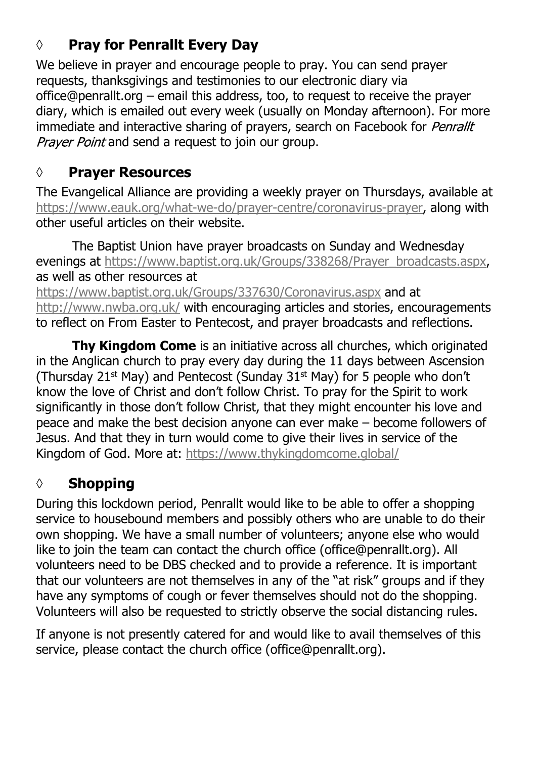## **◊ Pray for Penrallt Every Day**

We believe in prayer and encourage people to pray. You can send prayer requests, thanksgivings and testimonies to our electronic diary via office@penrallt.org – email this address, too, to request to receive the prayer diary, which is emailed out every week (usually on Monday afternoon). For more immediate and interactive sharing of prayers, search on Facebook for Penrallt Praver Point and send a request to join our group.

## **◊ Prayer Resources**

The Evangelical Alliance are providing a weekly prayer on Thursdays, available at [https://www.eauk.org/what-we-do/prayer-centre/coronavirus-prayer,](https://www.eauk.org/what-we-do/prayer-centre/coronavirus-prayer) along with other useful articles on their website.

The Baptist Union have prayer broadcasts on Sunday and Wednesday evenings at [https://www.baptist.org.uk/Groups/338268/Prayer\\_broadcasts.aspx,](https://www.baptist.org.uk/Groups/338268/Prayer_broadcasts.aspx) as well as other resources at

<https://www.baptist.org.uk/Groups/337630/Coronavirus.aspx>and at <http://www.nwba.org.uk/> with encouraging articles and stories, encouragements to reflect on From Easter to Pentecost, and prayer broadcasts and reflections.

**Thy Kingdom Come** is an initiative across all churches, which originated in the Anglican church to pray every day during the 11 days between Ascension (Thursday 21st May) and Pentecost (Sunday 31st May) for 5 people who don't know the love of Christ and don't follow Christ. To pray for the Spirit to work significantly in those don't follow Christ, that they might encounter his love and peace and make the best decision anyone can ever make – become followers of Jesus. And that they in turn would come to give their lives in service of the Kingdom of God. More at: <https://www.thykingdomcome.global/>

# **◊ Shopping**

During this lockdown period, Penrallt would like to be able to offer a shopping service to housebound members and possibly others who are unable to do their own shopping. We have a small number of volunteers; anyone else who would like to join the team can contact the church office (office@penrallt.org). All volunteers need to be DBS checked and to provide a reference. It is important that our volunteers are not themselves in any of the "at risk" groups and if they have any symptoms of cough or fever themselves should not do the shopping. Volunteers will also be requested to strictly observe the social distancing rules.

If anyone is not presently catered for and would like to avail themselves of this service, please contact the church office (office@penrallt.org).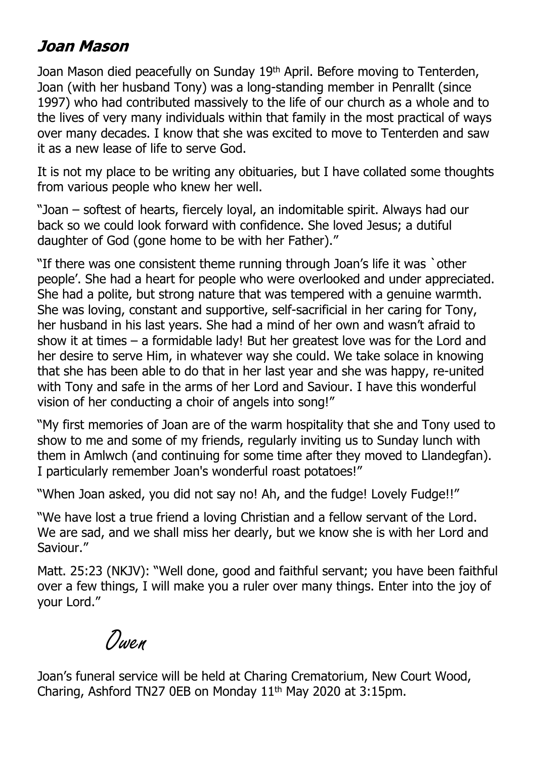#### Joan Mason

Joan Mason died peacefully on Sunday 19<sup>th</sup> April. Before moving to Tenterden, Joan (with her husband Tony) was a long-standing member in Penrallt (since 1997) who had contributed massively to the life of our church as a whole and to the lives of very many individuals within that family in the most practical of ways over many decades. I know that she was excited to move to Tenterden and saw it as a new lease of life to serve God.

It is not my place to be writing any obituaries, but I have collated some thoughts from various people who knew her well.

"Joan – softest of hearts, fiercely loyal, an indomitable spirit. Always had our back so we could look forward with confidence. She loved Jesus; a dutiful daughter of God (gone home to be with her Father)."

"If there was one consistent theme running through Joan's life it was `other people'. She had a heart for people who were overlooked and under appreciated. She had a polite, but strong nature that was tempered with a genuine warmth. She was loving, constant and supportive, self-sacrificial in her caring for Tony, her husband in his last years. She had a mind of her own and wasn't afraid to show it at times – a formidable lady! But her greatest love was for the Lord and her desire to serve Him, in whatever way she could. We take solace in knowing that she has been able to do that in her last year and she was happy, re-united with Tony and safe in the arms of her Lord and Saviour. I have this wonderful vision of her conducting a choir of angels into song!"

"My first memories of Joan are of the warm hospitality that she and Tony used to show to me and some of my friends, regularly inviting us to Sunday lunch with them in Amlwch (and continuing for some time after they moved to Llandegfan). I particularly remember Joan's wonderful roast potatoes!"

"When Joan asked, you did not say no! Ah, and the fudge! Lovely Fudge!!"

"We have lost a true friend a loving Christian and a fellow servant of the Lord. We are sad, and we shall miss her dearly, but we know she is with her Lord and Saviour."

Matt. 25:23 (NKJV): "Well done, good and faithful servant; you have been faithful over a few things, I will make you a ruler over many things. Enter into the joy of your Lord."

Owen

Joan's funeral service will be held at Charing Crematorium, New Court Wood, Charing, Ashford TN27 0EB on Monday 11th May 2020 at 3:15pm.